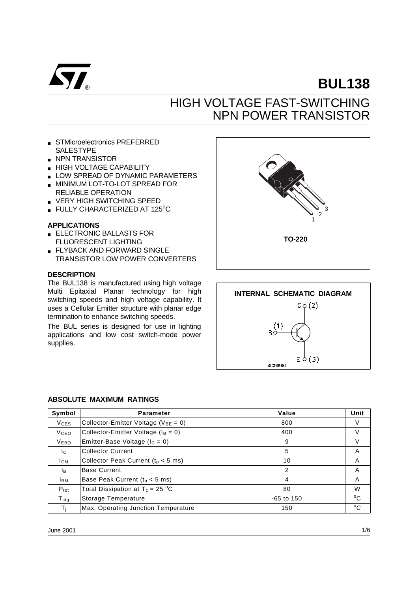

# **BUL138**

## HIGH VOLTAGE FAST-SWITCHING NPN POWER TRANSISTOR

- STMicroelectronics PREFERRED SALESTYPE
- NPN TRANSISTOR
- HIGH VOLTAGE CAPABILITY
- **LOW SPREAD OF DYNAMIC PARAMETERS**
- MINIMUM LOT-TO-LOT SPREAD FOR RELIABLE OPERATION
- VERY HIGH SWITCHING SPEED
- $\blacksquare$  FULLY CHARACTERIZED AT 125 $^{\circ}$ C

#### **APPLICATIONS**

- ELECTRONIC BALLASTS FOR FLUORESCENT LIGHTING
- FLYBACK AND FORWARD SINGLE TRANSISTOR LOW POWER CONVERTERS

#### **DESCRIPTION**

The BUL138 is manufactured using high voltage Multi Epitaxial Planar technology for high switching speeds and high voltage capability. It uses a Cellular Emitter structure with planar edge termination to enhance switching speeds.

The BUL series is designed for use in lighting applications and low cost switch-mode power supplies.





#### **ABSOLUTE MAXIMUM RATINGS**

| Symbol                 | <b>Parameter</b>                           | Value        | Unit         |
|------------------------|--------------------------------------------|--------------|--------------|
| <b>V<sub>CES</sub></b> | Collector-Emitter Voltage ( $V_{BE} = 0$ ) | 800          | V            |
| <b>V</b> ceo           | Collector-Emitter Voltage ( $I_B = 0$ )    | 400          | V            |
| <b>VEBO</b>            | Emitter-Base Voltage ( $I_C = 0$ )         | 9            | V            |
| Ic.                    | <b>Collector Current</b>                   | 5            | A            |
| <b>I</b> CM            | Collector Peak Current ( $t_p < 5$ ms)     | 10           | A            |
| Iв.                    | <b>Base Current</b>                        | 2            | A            |
| Івм                    | Base Peak Current ( $t_p < 5$ ms)          | 4            | A            |
| $P_{\text{tot}}$       | Total Dissipation at $T_c = 25 \degree C$  | 80           | W            |
| ${\sf T}_{\sf stq}$    | Storage Temperature                        | $-65$ to 150 | $^{\circ}$ C |
|                        | Max. Operating Junction Temperature        | 150          | $^{\circ}$ C |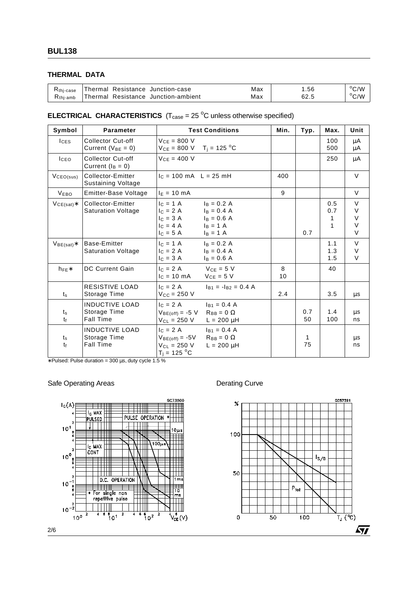## **THERMAL DATA**

| $R_{\rm thi-case}$   | Thermal Resistance Junction-case    | Max | .56  | $\rm ^{o}C/W$ |
|----------------------|-------------------------------------|-----|------|---------------|
| $R_{\text{thi-amb}}$ | Thermal Resistance Junction-ambient | Max | 62.5 | $\rm ^{o}C/W$ |

## **ELECTRICAL CHARACTERISTICS**  $(T_{\text{case}} = 25 \text{ °C}$  unless otherwise specified)

| Symbol                 | <b>Parameter</b>                                          | <b>Test Conditions</b>                                                                                                                                           | Min.    | Typ.      | Max.                 | Unit                                 |
|------------------------|-----------------------------------------------------------|------------------------------------------------------------------------------------------------------------------------------------------------------------------|---------|-----------|----------------------|--------------------------------------|
| $l$ <sub>CES</sub>     | <b>Collector Cut-off</b><br>Current ( $V_{BE} = 0$ )      | $VCF = 800 V$<br>$V_{CE} = 800 \text{ V}$ T <sub>i</sub> = 125 °C                                                                                                |         |           | 100<br>500           | μA<br>μA                             |
| <b>ICEO</b>            | <b>Collector Cut-off</b><br>Current $(I_B = 0)$           | $V_{CE} = 400 V$                                                                                                                                                 |         |           | 250                  | μA                                   |
| VCEO(sus)              | Collector-Emitter<br><b>Sustaining Voltage</b>            | $c = 100 \text{ mA}$ L = 25 mH                                                                                                                                   | 400     |           |                      | $\vee$                               |
| <b>VEBO</b>            | Emitter-Base Voltage                                      | $I_E = 10$ mA                                                                                                                                                    | 9       |           |                      | $\vee$                               |
| $VCE(sat)*$            | Collector-Emitter<br><b>Saturation Voltage</b>            | $c = 1 \text{ A}$<br>$I_B = 0.2 A$<br>$I_C = 2 A$<br>$I_B = 0.4 A$<br>$I_C = 3 A$<br>$I_B = 0.6 A$<br>$I_C = 4 A$<br>$I_B = 1 A$<br>$I_{C} = 5 A$<br>$I_B = 1 A$ |         | 0.7       | 0.5<br>0.7<br>1<br>1 | $\vee$<br>V<br>V<br>$\vee$<br>$\vee$ |
| $VBE(sat)*$            | Base-Emitter<br><b>Saturation Voltage</b>                 | $c = 1 \text{ A}$<br>$I_B = 0.2 A$<br>$I_C = 2 A$<br>$I_B = 0.4 A$<br>$I_C = 3 A$<br>$I_B = 0.6 A$                                                               |         |           | 1.1<br>1.3<br>1.5    | $\vee$<br>V<br>$\vee$                |
| $h_{FE}$               | <b>DC Current Gain</b>                                    | $V_{CE} = 5 V$<br>$c = 2A$<br>$V_{CE} = 5 V$<br>$I_C = 10 \text{ mA}$                                                                                            | 8<br>10 |           | 40                   |                                      |
| $t_{\rm s}$            | <b>RESISTIVE LOAD</b><br>Storage Time                     | $c = 2A$<br>$I_{B1} = -I_{B2} = 0.4$ A<br>$V_{CC}$ = 250 V                                                                                                       | 2.4     |           | 3.5                  | μs                                   |
| $t_{\rm s}$<br>tf      | <b>INDUCTIVE LOAD</b><br>Storage Time<br><b>Fall Time</b> | $c = 2A$<br>$I_{B1} = 0.4 A$<br>$V_{BE(off)} = -5 V$<br>$R_{BB} = 0 \Omega$<br>$V_{CL} = 250 V$<br>$L = 200 \mu H$                                               |         | 0.7<br>50 | 1.4<br>100           | μs<br>ns                             |
| $t_{\rm s}$<br>$t_{f}$ | <b>INDUCTIVE LOAD</b><br>Storage Time<br><b>Fall Time</b> | $c = 2A$<br>$I_{B1} = 0.4 A$<br>$R_{BB} = 0 \Omega$<br>$V_{BE(off)} = -5V$<br>$V_{\text{Cl}} = 250 V$<br>$L = 200 \mu H$<br>$T_i = 125 °C$                       |         | 1<br>75   |                      | μs<br>ns                             |

∗ Pulsed: Pulse duration = 300 µs, duty cycle 1.5 %

### Safe Operating Areas **Derational State Operation**



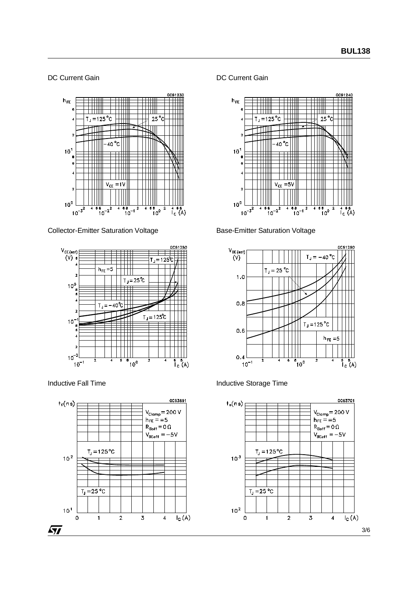DC Current Gain



Collector-Emitter Saturation Voltage



Inductive Fall Time



DC Current Gain



Base-Emitter Saturation Voltage



Inductive Storage Time

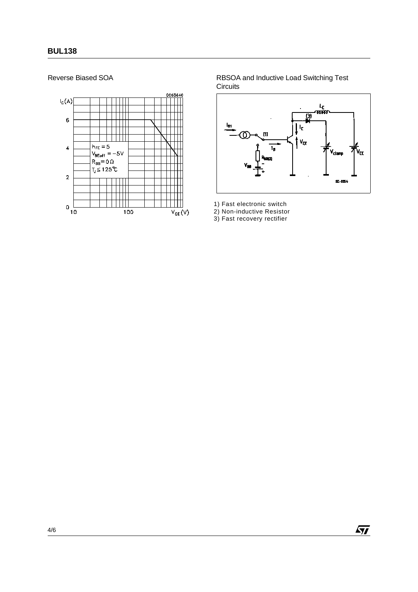

Reverse Biased SOA **RBSOA** and Inductive Load Switching Test **Circuits** 



 $\sqrt{M}$ 

1) Fast electronic switch

2) Non-inductive Resistor

3) Fast recovery rectifier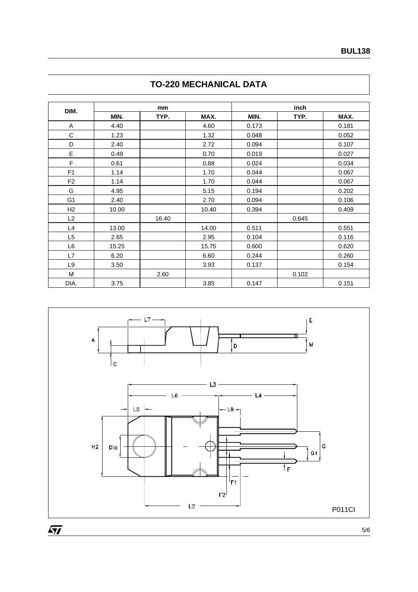| DIM.           |       | mm    |       |       | inch  |       |
|----------------|-------|-------|-------|-------|-------|-------|
|                | MIN.  | TYP.  | MAX.  | MIN.  | TYP.  | MAX.  |
| A              | 4.40  |       | 4.60  | 0.173 |       | 0.181 |
| C              | 1.23  |       | 1.32  | 0.048 |       | 0.052 |
| D              | 2.40  |       | 2.72  | 0.094 |       | 0.107 |
| E              | 0.49  |       | 0.70  | 0.019 |       | 0.027 |
| F              | 0.61  |       | 0.88  | 0.024 |       | 0.034 |
| F <sub>1</sub> | 1.14  |       | 1.70  | 0.044 |       | 0.067 |
| F <sub>2</sub> | 1.14  |       | 1.70  | 0.044 |       | 0.067 |
| G              | 4.95  |       | 5.15  | 0.194 |       | 0.202 |
| G <sub>1</sub> | 2.40  |       | 2.70  | 0.094 |       | 0.106 |
| H2             | 10.00 |       | 10.40 | 0.394 |       | 0.409 |
| L2             |       | 16.40 |       |       | 0.645 |       |
| L4             | 13.00 |       | 14.00 | 0.511 |       | 0.551 |
| L <sub>5</sub> | 2.65  |       | 2.95  | 0.104 |       | 0.116 |
| L6             | 15.25 |       | 15.75 | 0.600 |       | 0.620 |
| L7             | 6.20  |       | 6.60  | 0.244 |       | 0.260 |
| L9             | 3.50  |       | 3.93  | 0.137 |       | 0.154 |
| M              |       | 2.60  |       |       | 0.102 |       |
| DIA.           | 3.75  |       | 3.85  | 0.147 |       | 0.151 |





 $\sqrt{1}$